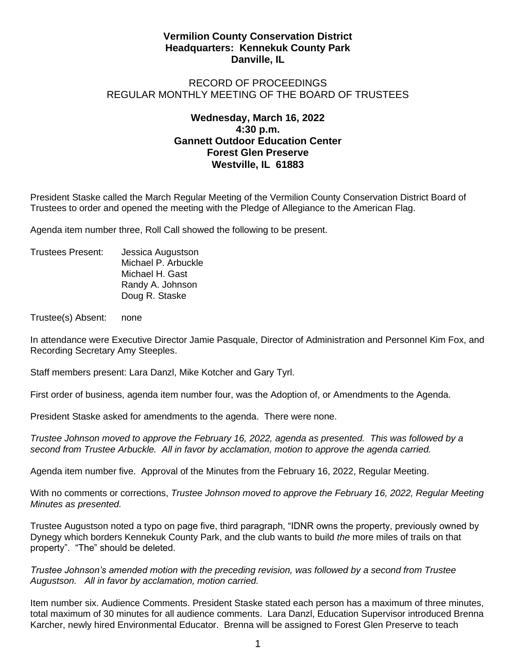## **Vermilion County Conservation District Headquarters: Kennekuk County Park Danville, IL**

## RECORD OF PROCEEDINGS REGULAR MONTHLY MEETING OF THE BOARD OF TRUSTEES

## **Wednesday, March 16, 2022 4:30 p.m. Gannett Outdoor Education Center Forest Glen Preserve Westville, IL 61883**

President Staske called the March Regular Meeting of the Vermilion County Conservation District Board of Trustees to order and opened the meeting with the Pledge of Allegiance to the American Flag.

Agenda item number three, Roll Call showed the following to be present.

Trustees Present: Jessica Augustson Michael P. Arbuckle Michael H. Gast Randy A. Johnson Doug R. Staske

Trustee(s) Absent: none

In attendance were Executive Director Jamie Pasquale, Director of Administration and Personnel Kim Fox, and Recording Secretary Amy Steeples.

Staff members present: Lara Danzl, Mike Kotcher and Gary Tyrl.

First order of business, agenda item number four, was the Adoption of, or Amendments to the Agenda.

President Staske asked for amendments to the agenda. There were none.

*Trustee Johnson moved to approve the February 16, 2022, agenda as presented. This was followed by a second from Trustee Arbuckle. All in favor by acclamation, motion to approve the agenda carried.*

Agenda item number five. Approval of the Minutes from the February 16, 2022, Regular Meeting.

With no comments or corrections, *Trustee Johnson moved to approve the February 16, 2022, Regular Meeting Minutes as presented.* 

Trustee Augustson noted a typo on page five, third paragraph, "IDNR owns the property, previously owned by Dynegy which borders Kennekuk County Park, and the club wants to build *the* more miles of trails on that property". "The" should be deleted.

*Trustee Johnson's amended motion with the preceding revision, was followed by a second from Trustee Augustson. All in favor by acclamation, motion carried.*

Item number six. Audience Comments. President Staske stated each person has a maximum of three minutes, total maximum of 30 minutes for all audience comments. Lara Danzl, Education Supervisor introduced Brenna Karcher, newly hired Environmental Educator. Brenna will be assigned to Forest Glen Preserve to teach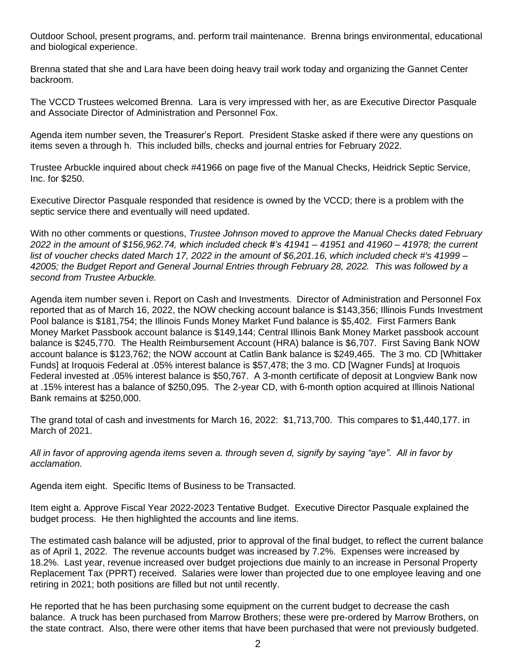Outdoor School, present programs, and. perform trail maintenance. Brenna brings environmental, educational and biological experience.

Brenna stated that she and Lara have been doing heavy trail work today and organizing the Gannet Center backroom.

The VCCD Trustees welcomed Brenna. Lara is very impressed with her, as are Executive Director Pasquale and Associate Director of Administration and Personnel Fox.

Agenda item number seven, the Treasurer's Report. President Staske asked if there were any questions on items seven a through h. This included bills, checks and journal entries for February 2022.

Trustee Arbuckle inquired about check #41966 on page five of the Manual Checks, Heidrick Septic Service, Inc. for \$250.

Executive Director Pasquale responded that residence is owned by the VCCD; there is a problem with the septic service there and eventually will need updated.

With no other comments or questions, *Trustee Johnson moved to approve the Manual Checks dated February 2022 in the amount of \$156,962.74, which included check #'s 41941 – 41951 and 41960 – 41978; the current list of voucher checks dated March 17, 2022 in the amount of \$6,201.16, which included check #'s 41999 – 42005; the Budget Report and General Journal Entries through February 28, 2022. This was followed by a second from Trustee Arbuckle.* 

Agenda item number seven i. Report on Cash and Investments. Director of Administration and Personnel Fox reported that as of March 16, 2022, the NOW checking account balance is \$143,356; Illinois Funds Investment Pool balance is \$181,754; the Illinois Funds Money Market Fund balance is \$5,402. First Farmers Bank Money Market Passbook account balance is \$149,144; Central Illinois Bank Money Market passbook account balance is \$245,770. The Health Reimbursement Account (HRA) balance is \$6,707. First Saving Bank NOW account balance is \$123,762; the NOW account at Catlin Bank balance is \$249,465. The 3 mo. CD [Whittaker Funds] at Iroquois Federal at .05% interest balance is \$57,478; the 3 mo. CD [Wagner Funds] at Iroquois Federal invested at .05% interest balance is \$50,767. A 3-month certificate of deposit at Longview Bank now at .15% interest has a balance of \$250,095. The 2-year CD, with 6-month option acquired at Illinois National Bank remains at \$250,000.

The grand total of cash and investments for March 16, 2022: \$1,713,700. This compares to \$1,440,177. in March of 2021.

*All in favor of approving agenda items seven a. through seven d, signify by saying "aye". All in favor by acclamation.*

Agenda item eight. Specific Items of Business to be Transacted.

Item eight a. Approve Fiscal Year 2022-2023 Tentative Budget. Executive Director Pasquale explained the budget process. He then highlighted the accounts and line items.

The estimated cash balance will be adjusted, prior to approval of the final budget, to reflect the current balance as of April 1, 2022. The revenue accounts budget was increased by 7.2%. Expenses were increased by 18.2%. Last year, revenue increased over budget projections due mainly to an increase in Personal Property Replacement Tax (PPRT) received. Salaries were lower than projected due to one employee leaving and one retiring in 2021; both positions are filled but not until recently.

He reported that he has been purchasing some equipment on the current budget to decrease the cash balance. A truck has been purchased from Marrow Brothers; these were pre-ordered by Marrow Brothers, on the state contract. Also, there were other items that have been purchased that were not previously budgeted.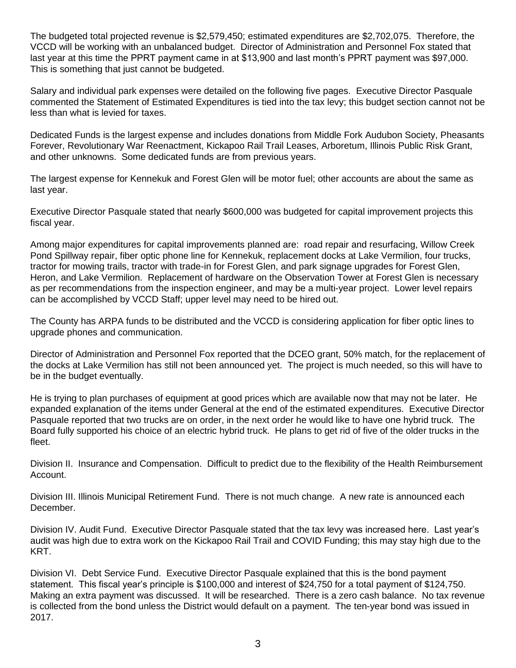The budgeted total projected revenue is \$2,579,450; estimated expenditures are \$2,702,075. Therefore, the VCCD will be working with an unbalanced budget. Director of Administration and Personnel Fox stated that last year at this time the PPRT payment came in at \$13,900 and last month's PPRT payment was \$97,000. This is something that just cannot be budgeted.

Salary and individual park expenses were detailed on the following five pages. Executive Director Pasquale commented the Statement of Estimated Expenditures is tied into the tax levy; this budget section cannot not be less than what is levied for taxes.

Dedicated Funds is the largest expense and includes donations from Middle Fork Audubon Society, Pheasants Forever, Revolutionary War Reenactment, Kickapoo Rail Trail Leases, Arboretum, Illinois Public Risk Grant, and other unknowns. Some dedicated funds are from previous years.

The largest expense for Kennekuk and Forest Glen will be motor fuel; other accounts are about the same as last year.

Executive Director Pasquale stated that nearly \$600,000 was budgeted for capital improvement projects this fiscal year.

Among major expenditures for capital improvements planned are: road repair and resurfacing, Willow Creek Pond Spillway repair, fiber optic phone line for Kennekuk, replacement docks at Lake Vermilion, four trucks, tractor for mowing trails, tractor with trade-in for Forest Glen, and park signage upgrades for Forest Glen, Heron, and Lake Vermilion. Replacement of hardware on the Observation Tower at Forest Glen is necessary as per recommendations from the inspection engineer, and may be a multi-year project. Lower level repairs can be accomplished by VCCD Staff; upper level may need to be hired out.

The County has ARPA funds to be distributed and the VCCD is considering application for fiber optic lines to upgrade phones and communication.

Director of Administration and Personnel Fox reported that the DCEO grant, 50% match, for the replacement of the docks at Lake Vermilion has still not been announced yet. The project is much needed, so this will have to be in the budget eventually.

He is trying to plan purchases of equipment at good prices which are available now that may not be later. He expanded explanation of the items under General at the end of the estimated expenditures. Executive Director Pasquale reported that two trucks are on order, in the next order he would like to have one hybrid truck. The Board fully supported his choice of an electric hybrid truck. He plans to get rid of five of the older trucks in the fleet.

Division II. Insurance and Compensation. Difficult to predict due to the flexibility of the Health Reimbursement Account.

Division III. Illinois Municipal Retirement Fund. There is not much change. A new rate is announced each December.

Division IV. Audit Fund. Executive Director Pasquale stated that the tax levy was increased here. Last year's audit was high due to extra work on the Kickapoo Rail Trail and COVID Funding; this may stay high due to the KRT.

Division VI. Debt Service Fund. Executive Director Pasquale explained that this is the bond payment statement. This fiscal year's principle is \$100,000 and interest of \$24,750 for a total payment of \$124,750. Making an extra payment was discussed. It will be researched. There is a zero cash balance. No tax revenue is collected from the bond unless the District would default on a payment. The ten-year bond was issued in 2017.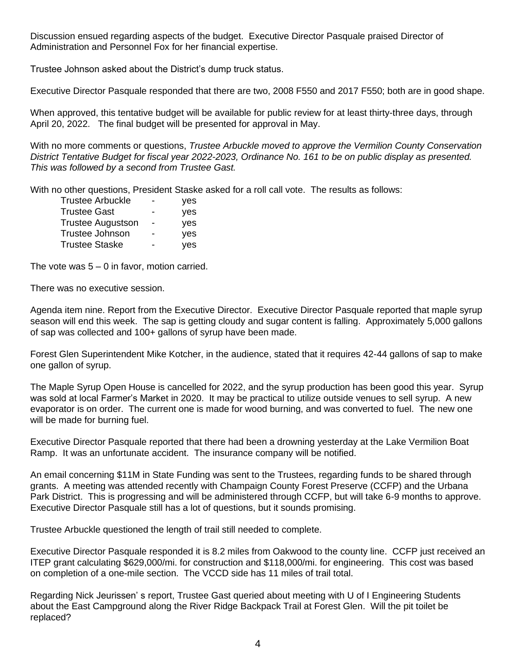Discussion ensued regarding aspects of the budget. Executive Director Pasquale praised Director of Administration and Personnel Fox for her financial expertise.

Trustee Johnson asked about the District's dump truck status.

Executive Director Pasquale responded that there are two, 2008 F550 and 2017 F550; both are in good shape.

When approved, this tentative budget will be available for public review for at least thirty-three days, through April 20, 2022. The final budget will be presented for approval in May.

With no more comments or questions, *Trustee Arbuckle moved to approve the Vermilion County Conservation District Tentative Budget for fiscal year 2022-2023, Ordinance No. 161 to be on public display as presented. This was followed by a second from Trustee Gast.*

With no other questions, President Staske asked for a roll call vote. The results as follows:

| Trustee Arbuckle  |   | yes |
|-------------------|---|-----|
| Trustee Gast      | - | yes |
| Trustee Augustson | - | ves |
| Trustee Johnson   | - | yes |
| Trustee Staske    |   | yes |

The vote was  $5 - 0$  in favor, motion carried.

There was no executive session.

Agenda item nine. Report from the Executive Director. Executive Director Pasquale reported that maple syrup season will end this week. The sap is getting cloudy and sugar content is falling. Approximately 5,000 gallons of sap was collected and 100+ gallons of syrup have been made.

Forest Glen Superintendent Mike Kotcher, in the audience, stated that it requires 42-44 gallons of sap to make one gallon of syrup.

The Maple Syrup Open House is cancelled for 2022, and the syrup production has been good this year. Syrup was sold at local Farmer's Market in 2020. It may be practical to utilize outside venues to sell syrup. A new evaporator is on order. The current one is made for wood burning, and was converted to fuel. The new one will be made for burning fuel.

Executive Director Pasquale reported that there had been a drowning yesterday at the Lake Vermilion Boat Ramp. It was an unfortunate accident. The insurance company will be notified.

An email concerning \$11M in State Funding was sent to the Trustees, regarding funds to be shared through grants. A meeting was attended recently with Champaign County Forest Preserve (CCFP) and the Urbana Park District. This is progressing and will be administered through CCFP, but will take 6-9 months to approve. Executive Director Pasquale still has a lot of questions, but it sounds promising.

Trustee Arbuckle questioned the length of trail still needed to complete.

Executive Director Pasquale responded it is 8.2 miles from Oakwood to the county line. CCFP just received an ITEP grant calculating \$629,000/mi. for construction and \$118,000/mi. for engineering. This cost was based on completion of a one-mile section. The VCCD side has 11 miles of trail total.

Regarding Nick Jeurissen' s report, Trustee Gast queried about meeting with U of I Engineering Students about the East Campground along the River Ridge Backpack Trail at Forest Glen. Will the pit toilet be replaced?